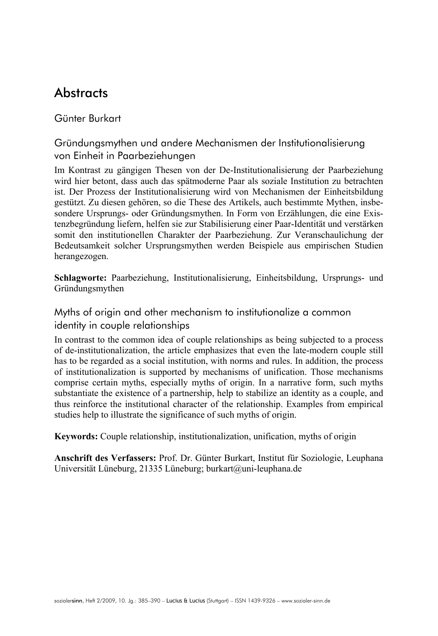# **Abstracts**

# Günter Burkart

Gründungsmythen und andere Mechanismen der Institutionalisierung von Einheit in Paarbeziehungen

Im Kontrast zu gängigen Thesen von der De-Institutionalisierung der Paarbeziehung wird hier betont, dass auch das spätmoderne Paar als soziale Institution zu betrachten ist. Der Prozess der Institutionalisierung wird von Mechanismen der Einheitsbildung gestützt. Zu diesen gehören, so die These des Artikels, auch bestimmte Mythen, insbesondere Ursprungs- oder Gründungsmythen. In Form von Erzählungen, die eine Existenzbegründung liefern, helfen sie zur Stabilisierung einer Paar-Identität und verstärken somit den institutionellen Charakter der Paarbeziehung. Zur Veranschaulichung der Bedeutsamkeit solcher Ursprungsmythen werden Beispiele aus empirischen Studien herangezogen.

**Schlagworte:** Paarbeziehung, Institutionalisierung, Einheitsbildung, Ursprungs- und Gründungsmythen

Myths of origin and other mechanism to institutionalize a common identity in couple relationships

In contrast to the common idea of couple relationships as being subjected to a process of de-institutionalization, the article emphasizes that even the late-modern couple still has to be regarded as a social institution, with norms and rules. In addition, the process of institutionalization is supported by mechanisms of unification. Those mechanisms comprise certain myths, especially myths of origin. In a narrative form, such myths substantiate the existence of a partnership, help to stabilize an identity as a couple, and thus reinforce the institutional character of the relationship. Examples from empirical studies help to illustrate the significance of such myths of origin.

**Keywords:** Couple relationship, institutionalization, unification, myths of origin

**Anschrift des Verfassers:** Prof. Dr. Günter Burkart, Institut für Soziologie, Leuphana Universität Lüneburg, 21335 Lüneburg; burkart@uni-leuphana.de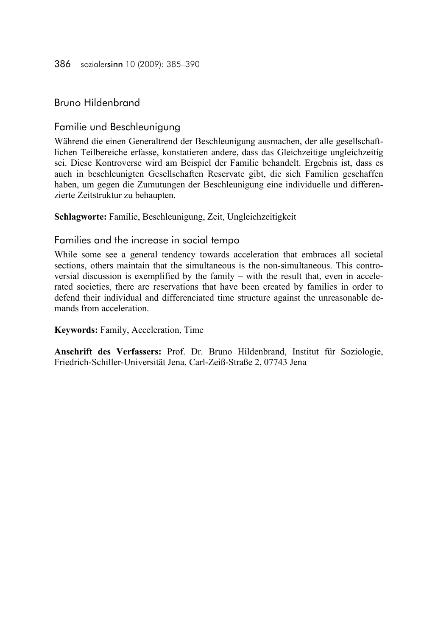#### 386 sozialersinn 10 (2009): 385–390

Bruno Hildenbrand

Familie und Beschleunigung

Während die einen Generaltrend der Beschleunigung ausmachen, der alle gesellschaftlichen Teilbereiche erfasse, konstatieren andere, dass das Gleichzeitige ungleichzeitig sei. Diese Kontroverse wird am Beispiel der Familie behandelt. Ergebnis ist, dass es auch in beschleunigten Gesellschaften Reservate gibt, die sich Familien geschaffen haben, um gegen die Zumutungen der Beschleunigung eine individuelle und differenzierte Zeitstruktur zu behaupten.

**Schlagworte:** Familie, Beschleunigung, Zeit, Ungleichzeitigkeit

#### Families and the increase in social tempo

While some see a general tendency towards acceleration that embraces all societal sections, others maintain that the simultaneous is the non-simultaneous. This controversial discussion is exemplified by the family – with the result that, even in accelerated societies, there are reservations that have been created by families in order to defend their individual and differenciated time structure against the unreasonable demands from acceleration.

**Keywords:** Family, Acceleration, Time

**Anschrift des Verfassers:** Prof. Dr. Bruno Hildenbrand, Institut für Soziologie, Friedrich-Schiller-Universität Jena, Carl-Zeiß-Straße 2, 07743 Jena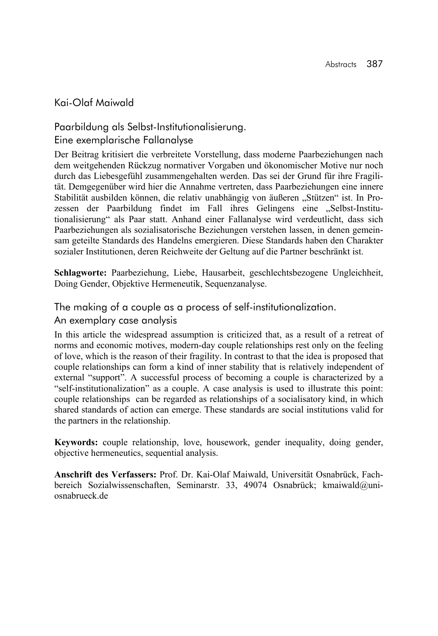### Kai-Olaf Maiwald

Paarbildung als Selbst-Institutionalisierung. Eine exemplarische Fallanalyse

Der Beitrag kritisiert die verbreitete Vorstellung, dass moderne Paarbeziehungen nach dem weitgehenden Rückzug normativer Vorgaben und ökonomischer Motive nur noch durch das Liebesgefühl zusammengehalten werden. Das sei der Grund für ihre Fragilität. Demgegenüber wird hier die Annahme vertreten, dass Paarbeziehungen eine innere Stabilität ausbilden können, die relativ unabhängig von äußeren "Stützen" ist. In Prozessen der Paarbildung findet im Fall ihres Gelingens eine "Selbst-Institutionalisierung" als Paar statt. Anhand einer Fallanalyse wird verdeutlicht, dass sich Paarbeziehungen als sozialisatorische Beziehungen verstehen lassen, in denen gemeinsam geteilte Standards des Handelns emergieren. Diese Standards haben den Charakter sozialer Institutionen, deren Reichweite der Geltung auf die Partner beschränkt ist.

**Schlagworte:** Paarbeziehung, Liebe, Hausarbeit, geschlechtsbezogene Ungleichheit, Doing Gender, Objektive Hermeneutik, Sequenzanalyse.

The making of a couple as a process of self-institutionalization.

#### An exemplary case analysis

In this article the widespread assumption is criticized that, as a result of a retreat of norms and economic motives, modern-day couple relationships rest only on the feeling of love, which is the reason of their fragility. In contrast to that the idea is proposed that couple relationships can form a kind of inner stability that is relatively independent of external "support". A successful process of becoming a couple is characterized by a "self-institutionalization" as a couple. A case analysis is used to illustrate this point: couple relationships can be regarded as relationships of a socialisatory kind, in which shared standards of action can emerge. These standards are social institutions valid for the partners in the relationship.

**Keywords:** couple relationship, love, housework, gender inequality, doing gender, objective hermeneutics, sequential analysis.

**Anschrift des Verfassers:** Prof. Dr. Kai-Olaf Maiwald, Universität Osnabrück, Fachbereich Sozialwissenschaften, Seminarstr. 33, 49074 Osnabrück; kmaiwald@uniosnabrueck.de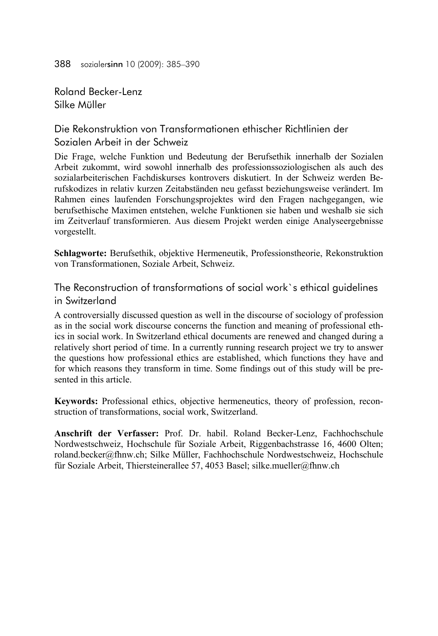388 sozialersinn 10 (2009): 385–390

Roland Becker-Lenz Silke Müller

Die Rekonstruktion von Transformationen ethischer Richtlinien der Sozialen Arbeit in der Schweiz

Die Frage, welche Funktion und Bedeutung der Berufsethik innerhalb der Sozialen Arbeit zukommt, wird sowohl innerhalb des professionssoziologischen als auch des sozialarbeiterischen Fachdiskurses kontrovers diskutiert. In der Schweiz werden Berufskodizes in relativ kurzen Zeitabständen neu gefasst beziehungsweise verändert. Im Rahmen eines laufenden Forschungsprojektes wird den Fragen nachgegangen, wie berufsethische Maximen entstehen, welche Funktionen sie haben und weshalb sie sich im Zeitverlauf transformieren. Aus diesem Projekt werden einige Analyseergebnisse vorgestellt.

**Schlagworte:** Berufsethik, objektive Hermeneutik, Professionstheorie, Rekonstruktion von Transformationen, Soziale Arbeit, Schweiz.

The Reconstruction of transformations of social work`s ethical guidelines in Switzerland

A controversially discussed question as well in the discourse of sociology of profession as in the social work discourse concerns the function and meaning of professional ethics in social work. In Switzerland ethical documents are renewed and changed during a relatively short period of time. In a currently running research project we try to answer the questions how professional ethics are established, which functions they have and for which reasons they transform in time. Some findings out of this study will be presented in this article.

**Keywords:** Professional ethics, objective hermeneutics, theory of profession, reconstruction of transformations, social work, Switzerland.

**Anschrift der Verfasser:** Prof. Dr. habil. Roland Becker-Lenz, Fachhochschule Nordwestschweiz, Hochschule für Soziale Arbeit, Riggenbachstrasse 16, 4600 Olten; roland.becker@fhnw.ch; Silke Müller, Fachhochschule Nordwestschweiz, Hochschule für Soziale Arbeit, Thiersteinerallee 57, 4053 Basel; silke.mueller@fhnw.ch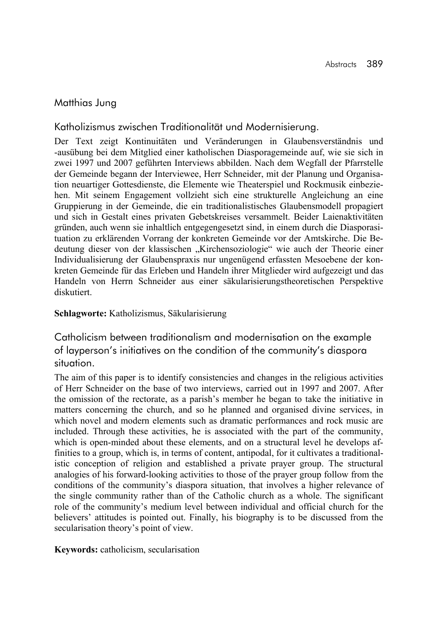# Matthias Jung

Katholizismus zwischen Traditionalität und Modernisierung.

Der Text zeigt Kontinuitäten und Veränderungen in Glaubensverständnis und -ausübung bei dem Mitglied einer katholischen Diasporagemeinde auf, wie sie sich in zwei 1997 und 2007 geführten Interviews abbilden. Nach dem Wegfall der Pfarrstelle der Gemeinde begann der Interviewee, Herr Schneider, mit der Planung und Organisation neuartiger Gottesdienste, die Elemente wie Theaterspiel und Rockmusik einbeziehen. Mit seinem Engagement vollzieht sich eine strukturelle Angleichung an eine Gruppierung in der Gemeinde, die ein traditionalistisches Glaubensmodell propagiert und sich in Gestalt eines privaten Gebetskreises versammelt. Beider Laienaktivitäten gründen, auch wenn sie inhaltlich entgegengesetzt sind, in einem durch die Diasporasituation zu erklärenden Vorrang der konkreten Gemeinde vor der Amtskirche. Die Bedeutung dieser von der klassischen "Kirchensoziologie" wie auch der Theorie einer Individualisierung der Glaubenspraxis nur ungenügend erfassten Mesoebene der konkreten Gemeinde für das Erleben und Handeln ihrer Mitglieder wird aufgezeigt und das Handeln von Herrn Schneider aus einer säkularisierungstheoretischen Perspektive diskutiert.

#### **Schlagworte:** Katholizismus, Säkularisierung

Catholicism between traditionalism and modernisation on the example of layperson's initiatives on the condition of the community's diaspora situation.

The aim of this paper is to identify consistencies and changes in the religious activities of Herr Schneider on the base of two interviews, carried out in 1997 and 2007. After the omission of the rectorate, as a parish's member he began to take the initiative in matters concerning the church, and so he planned and organised divine services, in which novel and modern elements such as dramatic performances and rock music are included. Through these activities, he is associated with the part of the community, which is open-minded about these elements, and on a structural level he develops affinities to a group, which is, in terms of content, antipodal, for it cultivates a traditionalistic conception of religion and established a private prayer group. The structural analogies of his forward-looking activities to those of the prayer group follow from the conditions of the community's diaspora situation, that involves a higher relevance of the single community rather than of the Catholic church as a whole. The significant role of the community's medium level between individual and official church for the believers' attitudes is pointed out. Finally, his biography is to be discussed from the secularisation theory's point of view.

**Keywords:** catholicism, secularisation